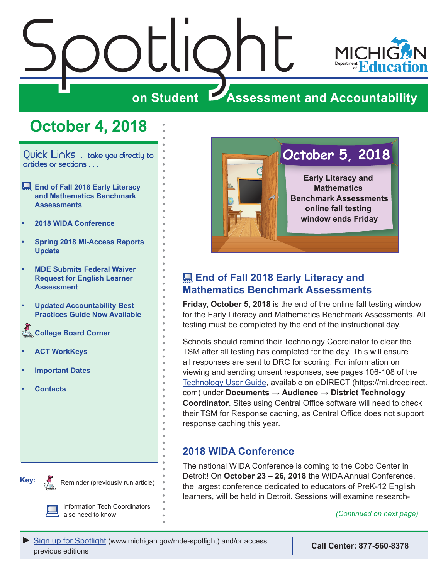# <span id="page-0-0"></span>Spotlight MICI **on Student Assessment and Accountability**

### **October 4, 2018**

Quick Links . . . take you directly to articles or sections . . .

- **End of Fall 2018 Early Literacy and Mathematics Benchmark Assessments**
- **• 2018 WIDA Conference**
- **• [Spring 2018 MI-Access Reports](#page-1-0)  [Update](#page-1-0)**
- **• [MDE Submits Federal Waiver](#page-2-0)  [Request for English Learner](#page-2-0)  [Assessment](#page-2-0)**
- **• [Updated Accountability Best](#page-2-0)  [Practices Guide Now Available](#page-2-0)**
- **Reminders Board Corner**
- **• [ACT WorkKeys](#page-6-0)**
- **• [Important Dates](#page-7-0)**
- **• [Contacts](#page-8-0)**



Reminder (previously run article)

information Tech Coordinators also need to know



### **End of Fall 2018 Early Literacy and Mathematics Benchmark Assessments**

**Friday, October 5, 2018** is the end of the online fall testing window for the Early Literacy and Mathematics Benchmark Assessments. All testing must be completed by the end of the instructional day.

Schools should remind their Technology Coordinator to clear the TSM after all testing has completed for the day. This will ensure all responses are sent to DRC for scoring. For information on viewing and sending unsent responses, see pages 106-108 of the [Technology User Guide](https://mi.drcedirect.com/Documents/Unsecure/Doc.aspx?id=27830d03-3cb2-459f-8843-40dd48d81b1a), available on eDIRECT (https://mi.drcedirect. com) under **Documents** → **Audience** → **District Technology Coordinator**. Sites using Central Office software will need to check their TSM for Response caching, as Central Office does not support response caching this year.

#### **2018 WIDA Conference**

The national WIDA Conference is coming to the Cobo Center in Detroit! On **October 23 – 26, 2018** the WIDA Annual Conference, the largest conference dedicated to educators of PreK-12 English learners, will be held in Detroit. Sessions will examine research-

*(Continued on next page)*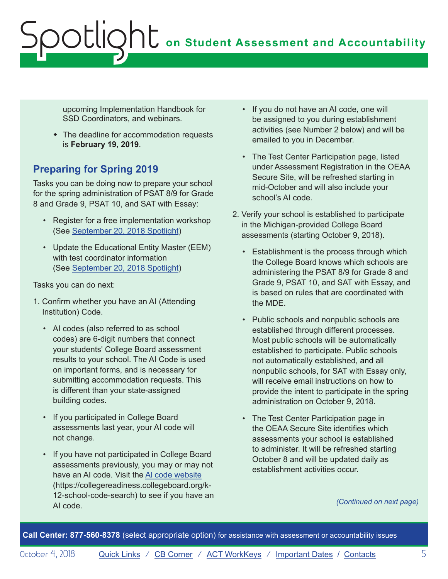# **on Student Assessment and Accountability** Spotlight

upcoming Implementation Handbook for SSD Coordinators, and webinars.

• The deadline for accommodation requests is **February 19, 2019**.

### **Preparing for Spring 2019**

Tasks you can be doing now to prepare your school for the spring administration of PSAT 8/9 for Grade 8 and Grade 9, PSAT 10, and SAT with Essay:

- Register for a free implementation workshop (See [September 20, 2018 Spotlight](https://www.michigan.gov/documents/mde/Spotlight_9-20-18_633930_7.pdf))
- Update the Educational Entity Master (EEM) with test coordinator information (See [September 20, 2018 Spotlight](https://www.michigan.gov/documents/mde/Spotlight_9-20-18_633930_7.pdf))

Tasks you can do next:

- 1. Confirm whether you have an AI (Attending Institution) Code.
	- AI codes (also referred to as school codes) are 6-digit numbers that connect your students' College Board assessment results to your school. The AI Code is used on important forms, and is necessary for submitting accommodation requests. This is different than your state-assigned building codes.
	- If you participated in College Board assessments last year, your AI code will not change.
	- If you have not participated in College Board assessments previously, you may or may not have an AI code. Visit the [Al code website](https://collegereadiness.collegeboard.org/k-12-school-code-search) (https://collegereadiness.collegeboard.org/k-12-school-code-search) to see if you have an AI code.
- If you do not have an AI code, one will be assigned to you during establishment activities (see Number 2 below) and will be emailed to you in December.
- The Test Center Participation page, listed under Assessment Registration in the OEAA Secure Site, will be refreshed starting in mid-October and will also include your school's AI code.
- 2. Verify your school is established to participate in the Michigan-provided College Board assessments (starting October 9, 2018).
	- Establishment is the process through which the College Board knows which schools are administering the PSAT 8/9 for Grade 8 and Grade 9, PSAT 10, and SAT with Essay, and is based on rules that are coordinated with the MDE.
	- Public schools and nonpublic schools are established through different processes. Most public schools will be automatically established to participate. Public schools not automatically established, and all nonpublic schools, for SAT with Essay only, will receive email instructions on how to provide the intent to participate in the spring administration on October 9, 2018.
	- The Test Center Participation page in the OEAA Secure Site identifies which assessments your school is established to administer. It will be refreshed starting October 8 and will be updated daily as establishment activities occur.

*(Continued on next page)*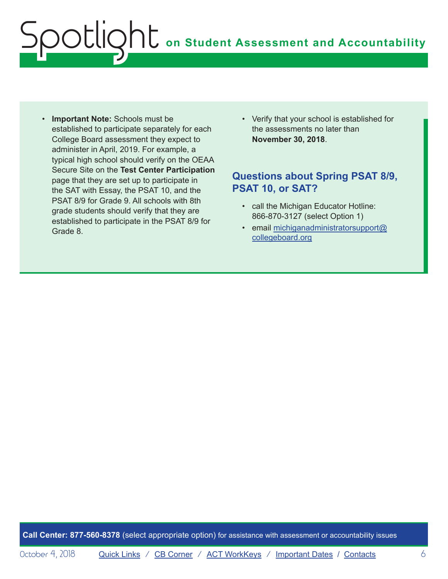# **on Student Assessment and Accountability** ootlig

- **Important Note:** Schools must be established to participate separately for each College Board assessment they expect to administer in April, 2019. For example, a typical high school should verify on the OEAA Secure Site on the **Test Center Participation** page that they are set up to participate in the SAT with Essay, the PSAT 10, and the PSAT 8/9 for Grade 9. All schools with 8th grade students should verify that they are established to participate in the PSAT 8/9 for Grade 8.
- Verify that your school is established for the assessments no later than **November 30, 2018**.

#### **Questions about Spring PSAT 8/9, PSAT 10, or SAT?**

- call the Michigan Educator Hotline: 866-870-3127 (select Option 1)
- email [michiganadministratorsupport@](mailto:michiganadministratorsupport%40collegeboard.org?subject=) [collegeboard.org](mailto:michiganadministratorsupport%40collegeboard.org?subject=)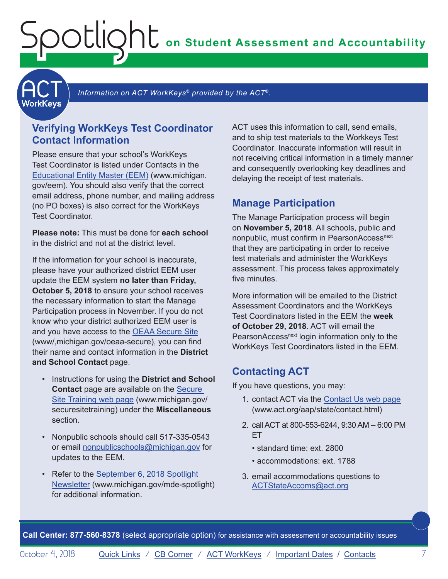**on Student Assessment and Accountability**

<span id="page-6-1"></span>**ACT** 

Information on ACT WorkKeys<sup>®</sup> provided by the ACT<sup>®</sup>.

#### **Verifying WorkKeys Test Coordinator Contact Information**

<span id="page-6-0"></span>Spotlight

Please ensure that your school's WorkKeys Test Coordinator is listed under Contacts in the [Educational Entity Master \(EEM\)](www.michigan.gov/EEM) (www.michigan. gov/eem). You should also verify that the correct email address, phone number, and mailing address (no PO boxes) is also correct for the WorkKeys Test Coordinator.

**Please note:** This must be done for **each school** in the district and not at the district level.

If the information for your school is inaccurate, please have your authorized district EEM user update the EEM system **no later than Friday, October 5, 2018** to ensure your school receives the necessary information to start the Manage Participation process in November. If you do not know who your district authorized EEM user is and you have access to the [OEAA Secure Site](http://www.michigan.gov/oeaa-secure) (www/,michigan.gov/oeaa-secure), you can find their name and contact information in the **District and School Contact** page.

- Instructions for using the **District and School Contact** page are available on the [Secure](http://www.michigan.gov/securesitetraining)  [Site Training web page](http://www.michigan.gov/securesitetraining) (www.michigan.gov/ securesitetraining) under the **Miscellaneous** section.
- Nonpublic schools should call 517-335-0543 or email [nonpublicschools@michigan.gov](mailto:nonpublicschools%40michigan.gov?subject=) for updates to the EEM.
- Refer to the September 6, 2018 Spotlight [Newsletter](https://www.michigan.gov/documents/mde/Spotlight_9-6-18_631964_7.pdf) (www.michigan.gov/mde-spotlight) for additional information.

ACT uses this information to call, send emails, and to ship test materials to the Workkeys Test Coordinator. Inaccurate information will result in not receiving critical information in a timely manner and consequently overlooking key deadlines and delaying the receipt of test materials.

#### **Manage Participation**

The Manage Participation process will begin on **November 5, 2018**. All schools, public and nonpublic, must confirm in PearsonAccess<sup>next</sup> that they are participating in order to receive test materials and administer the WorkKeys assessment. This process takes approximately five minutes.

More information will be emailed to the District Assessment Coordinators and the WorkKeys Test Coordinators listed in the EEM the **week of October 29, 2018**. ACT will email the PearsonAccess<sup>next</sup> login information only to the WorkKeys Test Coordinators listed in the EEM.

#### **Contacting ACT**

If you have questions, you may:

- 1. contact ACT via the [Contact Us web page](http://www.act.org/aap/state/contact.html) [\(www.act.org/aap/state/contact.html\)](www.act.org/aap/state/contact.html)
- 2. call ACT at 800-553-6244, 9:30 AM 6:00 PM ET
	- standard time: ext. 2800
	- accommodations: ext. 1788
- 3. email accommodations questions to [ACTStateAccoms@act.org](mailto:ACTStateAccoms%40act.org?subject=)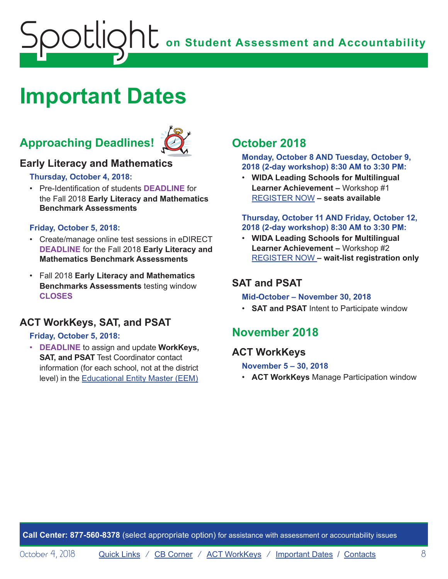# <span id="page-7-0"></span>**OC** on Student Assessment and Accountability potlic

### <span id="page-7-1"></span>**Important Dates**

### **Approaching Deadlines!**



#### **Early Literacy and Mathematics**

**Thursday, October 4, 2018:**

• Pre-Identification of students **DEADLINE** for the Fall 2018 **Early Literacy and Mathematics Benchmark Assessments**

#### **Friday, October 5, 2018:**

- Create/manage online test sessions in eDIRECT **DEADLINE** for the Fall 2018 **Early Literacy and Mathematics Benchmark Assessments**
- Fall 2018 **Early Literacy and Mathematics Benchmarks Assessments** testing window **CLOSES**

#### **ACT WorkKeys, SAT, and PSAT**

#### **Friday, October 5, 2018:**

• **DEADLINE** to assign and update **WorkKeys, SAT, and PSAT** Test Coordinator contact information (for each school, not at the district level) in the [Educational Entity Master \(EEM\)](www.michigan.gov/EEM)

### **October 2018**

**Monday, October 8 AND Tuesday, October 9, 2018 (2-day workshop) 8:30 AM to 3:30 PM:**

• **WIDA Leading Schools for Multilingual Learner Achievement –** Workshop #1 [REGISTER NOW](https://www.eventbrite.com/e/leading-schools-for-multilingual-learner-achievement-registration-46676636075) **– seats available**

#### **Thursday, October 11 AND Friday, October 12, 2018 (2-day workshop) 8:30 AM to 3:30 PM:**

• **WIDA Leading Schools for Multilingual Learner Achievement –** Workshop #2 [REGISTER NOW](https://www.eventbrite.com/e/leading-schools-for-multilingual-learner-achievement-tickets-46676638081) **– wait-list registration only**

#### **SAT and PSAT**

#### **Mid-October – November 30, 2018**

• **SAT and PSAT** Intent to Participate window

#### **November 2018**

#### **ACT WorkKeys**

**November 5 – 30, 2018**

• **ACT WorkKeys** Manage Participation window